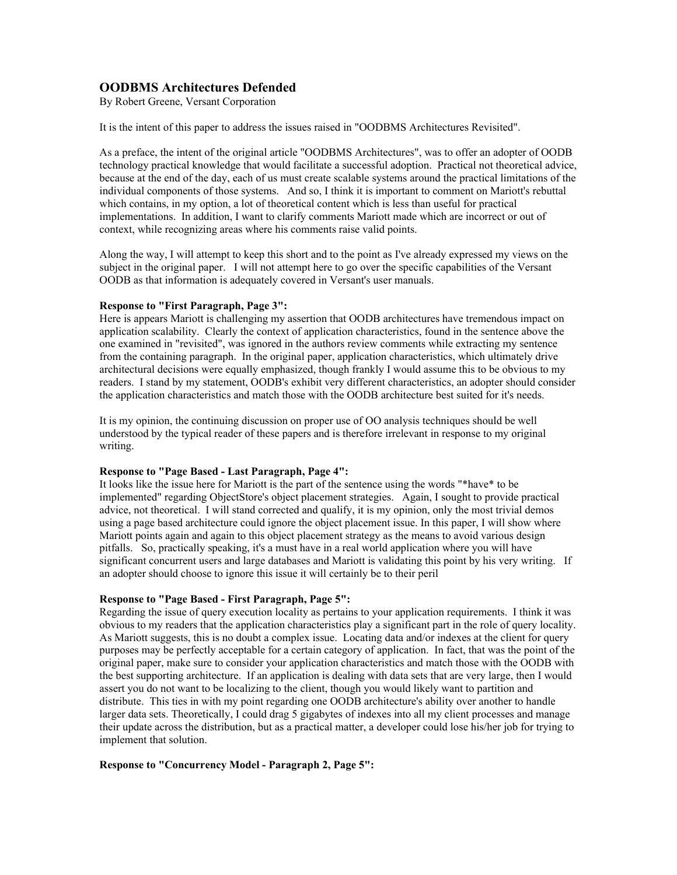# **OODBMS Architectures Defended**

By Robert Greene, Versant Corporation

It is the intent of this paper to address the issues raised in "OODBMS Architectures Revisited".

As a preface, the intent of the original article "OODBMS Architectures", was to offer an adopter of OODB technology practical knowledge that would facilitate a successful adoption. Practical not theoretical advice, because at the end of the day, each of us must create scalable systems around the practical limitations of the individual components of those systems. And so, I think it is important to comment on Mariott's rebuttal which contains, in my option, a lot of theoretical content which is less than useful for practical implementations. In addition, I want to clarify comments Mariott made which are incorrect or out of context, while recognizing areas where his comments raise valid points.

Along the way, I will attempt to keep this short and to the point as I've already expressed my views on the subject in the original paper. I will not attempt here to go over the specific capabilities of the Versant OODB as that information is adequately covered in Versant's user manuals.

# **Response to "First Paragraph, Page 3":**

Here is appears Mariott is challenging my assertion that OODB architectures have tremendous impact on application scalability. Clearly the context of application characteristics, found in the sentence above the one examined in "revisited", was ignored in the authors review comments while extracting my sentence from the containing paragraph. In the original paper, application characteristics, which ultimately drive architectural decisions were equally emphasized, though frankly I would assume this to be obvious to my readers. I stand by my statement, OODB's exhibit very different characteristics, an adopter should consider the application characteristics and match those with the OODB architecture best suited for it's needs.

It is my opinion, the continuing discussion on proper use of OO analysis techniques should be well understood by the typical reader of these papers and is therefore irrelevant in response to my original writing.

## **Response to "Page Based - Last Paragraph, Page 4":**

It looks like the issue here for Mariott is the part of the sentence using the words "\*have\* to be implemented" regarding ObjectStore's object placement strategies. Again, I sought to provide practical advice, not theoretical. I will stand corrected and qualify, it is my opinion, only the most trivial demos using a page based architecture could ignore the object placement issue. In this paper, I will show where Mariott points again and again to this object placement strategy as the means to avoid various design pitfalls. So, practically speaking, it's a must have in a real world application where you will have significant concurrent users and large databases and Mariott is validating this point by his very writing. If an adopter should choose to ignore this issue it will certainly be to their peril

## **Response to "Page Based - First Paragraph, Page 5":**

Regarding the issue of query execution locality as pertains to your application requirements. I think it was obvious to my readers that the application characteristics play a significant part in the role of query locality. As Mariott suggests, this is no doubt a complex issue. Locating data and/or indexes at the client for query purposes may be perfectly acceptable for a certain category of application. In fact, that was the point of the original paper, make sure to consider your application characteristics and match those with the OODB with the best supporting architecture. If an application is dealing with data sets that are very large, then I would assert you do not want to be localizing to the client, though you would likely want to partition and distribute. This ties in with my point regarding one OODB architecture's ability over another to handle larger data sets. Theoretically, I could drag 5 gigabytes of indexes into all my client processes and manage their update across the distribution, but as a practical matter, a developer could lose his/her job for trying to implement that solution.

## **Response to "Concurrency Model - Paragraph 2, Page 5":**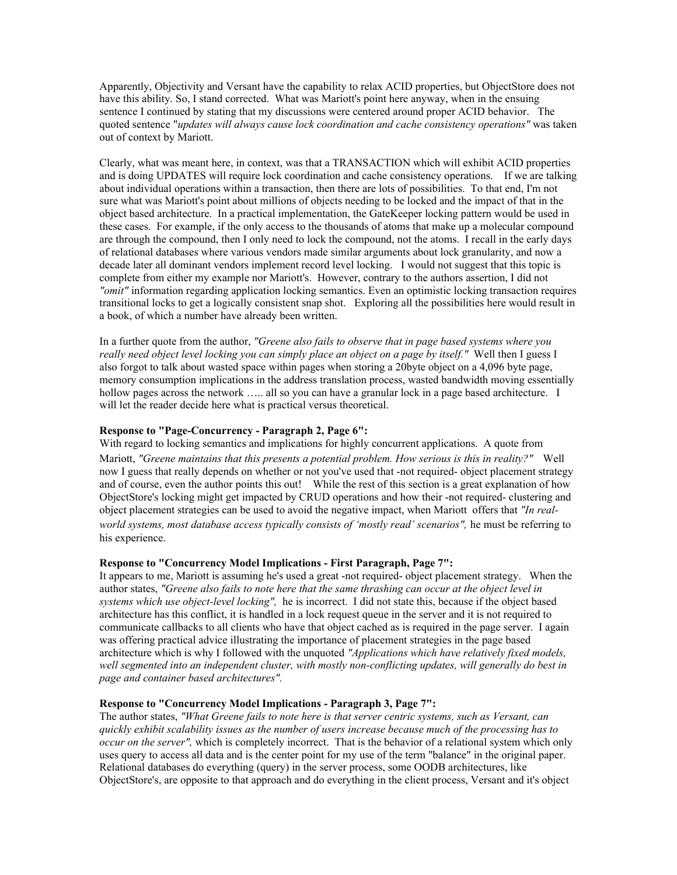Apparently, Objectivity and Versant have the capability to relax ACID properties, but ObjectStore does not have this ability. So, I stand corrected. What was Mariott's point here anyway, when in the ensuing sentence I continued by stating that my discussions were centered around proper ACID behavior. The quoted sentence "*updates will always cause lock coordination and cache consistency operations"* was taken out of context by Mariott.

Clearly, what was meant here, in context, was that a TRANSACTION which will exhibit ACID properties and is doing UPDATES will require lock coordination and cache consistency operations. If we are talking about individual operations within a transaction, then there are lots of possibilities. To that end, I'm not sure what was Mariott's point about millions of objects needing to be locked and the impact of that in the object based architecture. In a practical implementation, the GateKeeper locking pattern would be used in these cases. For example, if the only access to the thousands of atoms that make up a molecular compound are through the compound, then I only need to lock the compound, not the atoms. I recall in the early days of relational databases where various vendors made similar arguments about lock granularity, and now a decade later all dominant vendors implement record level locking. I would not suggest that this topic is complete from either my example nor Mariott's. However, contrary to the authors assertion, I did not *"omit"* information regarding application locking semantics. Even an optimistic locking transaction requires transitional locks to get a logically consistent snap shot. Exploring all the possibilities here would result in a book, of which a number have already been written.

In a further quote from the author, *"Greene also fails to observe that in page based systems where you really need object level locking you can simply place an object on a page by itself."* Well then I guess I also forgot to talk about wasted space within pages when storing a 20byte object on a 4,096 byte page, memory consumption implications in the address translation process, wasted bandwidth moving essentially hollow pages across the network ..... all so you can have a granular lock in a page based architecture. I will let the reader decide here what is practical versus theoretical.

## **Response to "Page-Concurrency - Paragraph 2, Page 6":**

With regard to locking semantics and implications for highly concurrent applications. A quote from Mariott, *"Greene maintains that this presents a potential problem. How serious is this in reality?"* Well now I guess that really depends on whether or not you've used that -not required- object placement strategy and of course, even the author points this out! While the rest of this section is a great explanation of how ObjectStore's locking might get impacted by CRUD operations and how their -not required- clustering and object placement strategies can be used to avoid the negative impact, when Mariott offers that *"In realworld systems, most database access typically consists of 'mostly read' scenarios",* he must be referring to his experience.

#### **Response to "Concurrency Model Implications - First Paragraph, Page 7":**

It appears to me, Mariott is assuming he's used a great -not required- object placement strategy. When the author states, *"Greene also fails to note here that the same thrashing can occur at the object level in systems which use object-level locking",* he is incorrect. I did not state this, because if the object based architecture has this conflict, it is handled in a lock request queue in the server and it is not required to communicate callbacks to all clients who have that object cached as is required in the page server. I again was offering practical advice illustrating the importance of placement strategies in the page based architecture which is why I followed with the unquoted *"Applications which have relatively fixed models, well segmented into an independent cluster, with mostly non-conflicting updates, will generally do best in page and container based architectures".*

## **Response to "Concurrency Model Implications - Paragraph 3, Page 7":**

The author states, *"What Greene fails to note here is that server centric systems, such as Versant, can quickly exhibit scalability issues as the number of users increase because much of the processing has to occur on the server",* which is completely incorrect. That is the behavior of a relational system which only uses query to access all data and is the center point for my use of the term "balance" in the original paper. Relational databases do everything (query) in the server process, some OODB architectures, like ObjectStore's, are opposite to that approach and do everything in the client process, Versant and it's object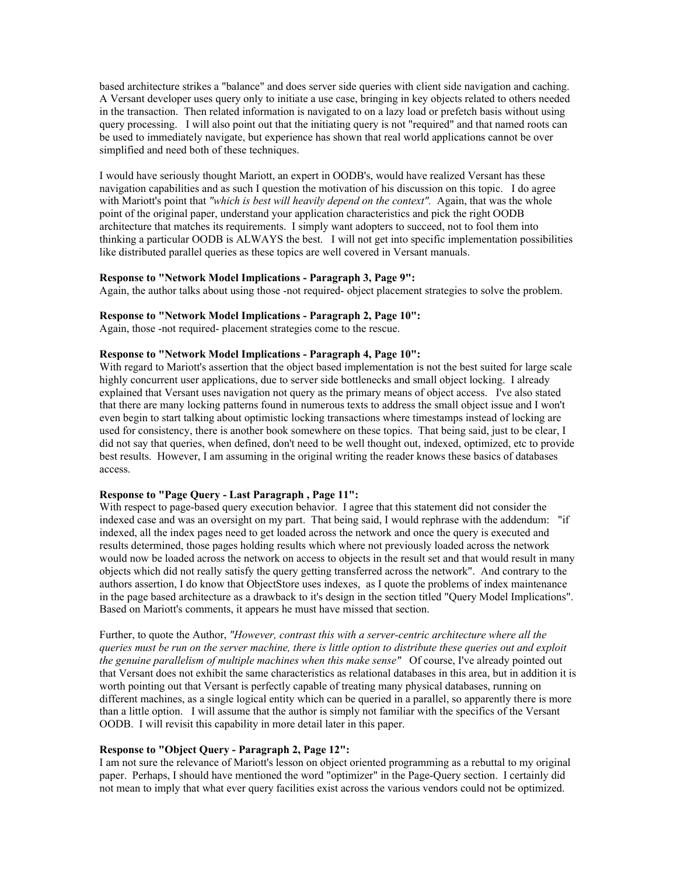based architecture strikes a "balance" and does server side queries with client side navigation and caching. A Versant developer uses query only to initiate a use case, bringing in key objects related to others needed in the transaction. Then related information is navigated to on a lazy load or prefetch basis without using query processing. I will also point out that the initiating query is not "required" and that named roots can be used to immediately navigate, but experience has shown that real world applications cannot be over simplified and need both of these techniques.

I would have seriously thought Mariott, an expert in OODB's, would have realized Versant has these navigation capabilities and as such I question the motivation of his discussion on this topic. I do agree with Mariott's point that *"which is best will heavily depend on the context"*. Again, that was the whole point of the original paper, understand your application characteristics and pick the right OODB architecture that matches its requirements. I simply want adopters to succeed, not to fool them into thinking a particular OODB is ALWAYS the best. I will not get into specific implementation possibilities like distributed parallel queries as these topics are well covered in Versant manuals.

#### **Response to "Network Model Implications - Paragraph 3, Page 9":**

Again, the author talks about using those -not required- object placement strategies to solve the problem.

#### **Response to "Network Model Implications - Paragraph 2, Page 10":**

Again, those -not required- placement strategies come to the rescue.

## **Response to "Network Model Implications - Paragraph 4, Page 10":**

With regard to Mariott's assertion that the object based implementation is not the best suited for large scale highly concurrent user applications, due to server side bottlenecks and small object locking. I already explained that Versant uses navigation not query as the primary means of object access. I've also stated that there are many locking patterns found in numerous texts to address the small object issue and I won't even begin to start talking about optimistic locking transactions where timestamps instead of locking are used for consistency, there is another book somewhere on these topics. That being said, just to be clear, I did not say that queries, when defined, don't need to be well thought out, indexed, optimized, etc to provide best results. However, I am assuming in the original writing the reader knows these basics of databases access.

# **Response to "Page Query - Last Paragraph , Page 11":**

With respect to page-based query execution behavior. I agree that this statement did not consider the indexed case and was an oversight on my part. That being said, I would rephrase with the addendum: "if indexed, all the index pages need to get loaded across the network and once the query is executed and results determined, those pages holding results which where not previously loaded across the network would now be loaded across the network on access to objects in the result set and that would result in many objects which did not really satisfy the query getting transferred across the network". And contrary to the authors assertion, I do know that ObjectStore uses indexes, as I quote the problems of index maintenance in the page based architecture as a drawback to it's design in the section titled "Query Model Implications". Based on Mariott's comments, it appears he must have missed that section.

Further, to quote the Author, *"However, contrast this with a server-centric architecture where all the queries must be run on the server machine, there is little option to distribute these queries out and exploit the genuine parallelism of multiple machines when this make sense"* Of course, I've already pointed out that Versant does not exhibit the same characteristics as relational databases in this area, but in addition it is worth pointing out that Versant is perfectly capable of treating many physical databases, running on different machines, as a single logical entity which can be queried in a parallel, so apparently there is more than a little option. I will assume that the author is simply not familiar with the specifics of the Versant OODB. I will revisit this capability in more detail later in this paper.

#### **Response to "Object Query - Paragraph 2, Page 12":**

I am not sure the relevance of Mariott's lesson on object oriented programming as a rebuttal to my original paper. Perhaps, I should have mentioned the word "optimizer" in the Page-Query section. I certainly did not mean to imply that what ever query facilities exist across the various vendors could not be optimized.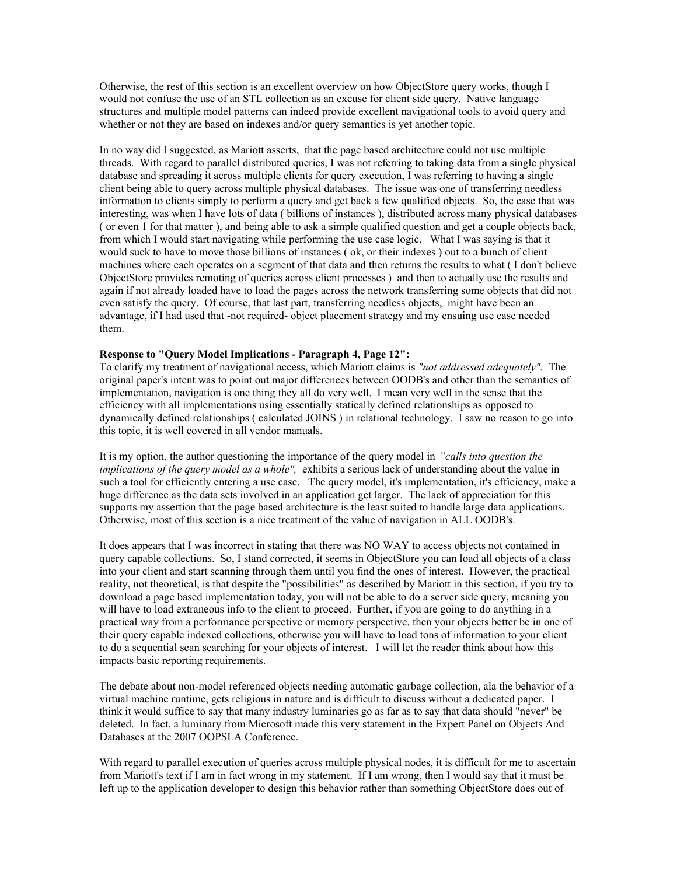Otherwise, the rest of this section is an excellent overview on how ObjectStore query works, though I would not confuse the use of an STL collection as an excuse for client side query. Native language structures and multiple model patterns can indeed provide excellent navigational tools to avoid query and whether or not they are based on indexes and/or query semantics is yet another topic.

In no way did I suggested, as Mariott asserts, that the page based architecture could not use multiple threads. With regard to parallel distributed queries, I was not referring to taking data from a single physical database and spreading it across multiple clients for query execution, I was referring to having a single client being able to query across multiple physical databases. The issue was one of transferring needless information to clients simply to perform a query and get back a few qualified objects. So, the case that was interesting, was when I have lots of data ( billions of instances ), distributed across many physical databases ( or even 1 for that matter ), and being able to ask a simple qualified question and get a couple objects back, from which I would start navigating while performing the use case logic. What I was saying is that it would suck to have to move those billions of instances ( ok, or their indexes ) out to a bunch of client machines where each operates on a segment of that data and then returns the results to what ( I don't believe ObjectStore provides remoting of queries across client processes ) and then to actually use the results and again if not already loaded have to load the pages across the network transferring some objects that did not even satisfy the query. Of course, that last part, transferring needless objects, might have been an advantage, if I had used that -not required- object placement strategy and my ensuing use case needed them.

## **Response to "Query Model Implications - Paragraph 4, Page 12":**

To clarify my treatment of navigational access, which Mariott claims is *"not addressed adequately".* The original paper's intent was to point out major differences between OODB's and other than the semantics of implementation, navigation is one thing they all do very well. I mean very well in the sense that the efficiency with all implementations using essentially statically defined relationships as opposed to dynamically defined relationships ( calculated JOINS ) in relational technology. I saw no reason to go into this topic, it is well covered in all vendor manuals.

It is my option, the author questioning the importance of the query model in "*calls into question the implications of the query model as a whole",* exhibits a serious lack of understanding about the value in such a tool for efficiently entering a use case. The query model, it's implementation, it's efficiency, make a huge difference as the data sets involved in an application get larger. The lack of appreciation for this supports my assertion that the page based architecture is the least suited to handle large data applications. Otherwise, most of this section is a nice treatment of the value of navigation in ALL OODB's.

It does appears that I was incorrect in stating that there was NO WAY to access objects not contained in query capable collections. So, I stand corrected, it seems in ObjectStore you can load all objects of a class into your client and start scanning through them until you find the ones of interest. However, the practical reality, not theoretical, is that despite the "possibilities" as described by Mariott in this section, if you try to download a page based implementation today, you will not be able to do a server side query, meaning you will have to load extraneous info to the client to proceed. Further, if you are going to do anything in a practical way from a performance perspective or memory perspective, then your objects better be in one of their query capable indexed collections, otherwise you will have to load tons of information to your client to do a sequential scan searching for your objects of interest. I will let the reader think about how this impacts basic reporting requirements.

The debate about non-model referenced objects needing automatic garbage collection, ala the behavior of a virtual machine runtime, gets religious in nature and is difficult to discuss without a dedicated paper. I think it would suffice to say that many industry luminaries go as far as to say that data should "never" be deleted. In fact, a luminary from Microsoft made this very statement in the Expert Panel on Objects And Databases at the 2007 OOPSLA Conference.

With regard to parallel execution of queries across multiple physical nodes, it is difficult for me to ascertain from Mariott's text if I am in fact wrong in my statement. If I am wrong, then I would say that it must be left up to the application developer to design this behavior rather than something ObjectStore does out of